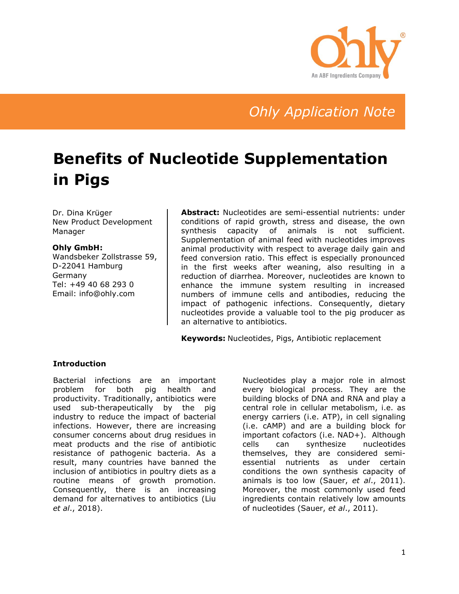

# *Ohly Application Note*

# **Benefits of Nucleotide Supplementation in Pigs**

Dr. Dina Krüger New Product Development Manager

#### **Ohly GmbH:**

Wandsbeker Zollstrasse 59, D-22041 Hamburg Germany Tel: +49 40 68 293 0 Email: info@ohly.com

**Abstract:** Nucleotides are semi-essential nutrients: under conditions of rapid growth, stress and disease, the own synthesis capacity of animals is not sufficient. Supplementation of animal feed with nucleotides improves animal productivity with respect to average daily gain and feed conversion ratio. This effect is especially pronounced in the first weeks after weaning, also resulting in a reduction of diarrhea. Moreover, nucleotides are known to enhance the immune system resulting in increased numbers of immune cells and antibodies, reducing the impact of pathogenic infections. Consequently, dietary nucleotides provide a valuable tool to the pig producer as an alternative to antibiotics.

**Keywords:** Nucleotides, Pigs, Antibiotic replacement

#### **Introduction**

Bacterial infections are an important problem for both pig health and productivity. Traditionally, antibiotics were used sub-therapeutically by the pig industry to reduce the impact of bacterial infections. However, there are increasing consumer concerns about drug residues in meat products and the rise of antibiotic resistance of pathogenic bacteria. As a result, many countries have banned the inclusion of antibiotics in poultry diets as a routine means of growth promotion. Consequently, there is an increasing demand for alternatives to antibiotics (Liu *et al*., 2018).

Nucleotides play a major role in almost every biological process. They are the building blocks of DNA and RNA and play a central role in cellular metabolism, i.e. as energy carriers (i.e. ATP), in cell signaling (i.e. cAMP) and are a building block for important cofactors (i.e. NAD+). Although cells can synthesize nucleotides themselves, they are considered semiessential nutrients as under certain conditions the own synthesis capacity of animals is too low (Sauer, *et al*., 2011). Moreover, the most commonly used feed ingredients contain relatively low amounts of nucleotides (Sauer, *et al*., 2011).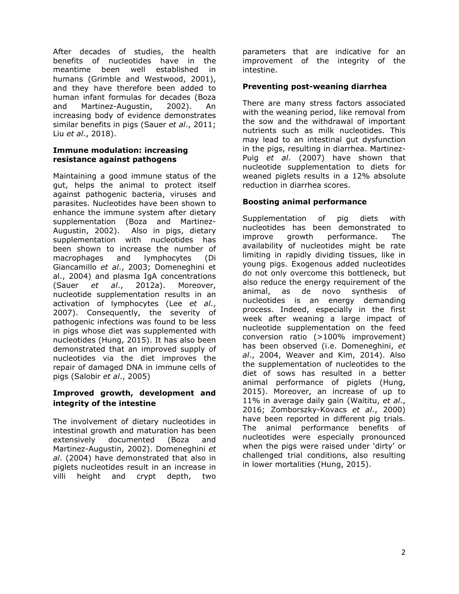After decades of studies, the health benefits of nucleotides have in the meantime been well established in humans (Grimble and Westwood, 2001), and they have therefore been added to human infant formulas for decades (Boza and Martinez-Augustin, 2002). An increasing body of evidence demonstrates similar benefits in pigs (Sauer *et al*., 2011; Liu *et al*., 2018).

#### **Immune modulation: increasing resistance against pathogens**

Maintaining a good immune status of the gut, helps the animal to protect itself against pathogenic bacteria, viruses and parasites. Nucleotides have been shown to enhance the immune system after dietary supplementation (Boza and Martinez-Augustin, 2002). Also in pigs, dietary supplementation with nucleotides has been shown to increase the number of<br>macrophages and lymphocvtes (Di macrophages and lymphocytes Giancamillo *et al*., 2003; Domeneghini et al., 2004) and plasma IgA concentrations (Sauer *et al*., 2012a). Moreover, nucleotide supplementation results in an activation of lymphocytes (Lee *et al*., 2007). Consequently, the severity of pathogenic infections was found to be less in pigs whose diet was supplemented with nucleotides (Hung, 2015). It has also been demonstrated that an improved supply of nucleotides via the diet improves the repair of damaged DNA in immune cells of pigs (Salobir *et al*., 2005)

## **Improved growth, development and integrity of the intestine**

The involvement of dietary nucleotides in intestinal growth and maturation has been extensively documented (Boza and Martinez-Augustin, 2002). Domeneghini *et al*. (2004) have demonstrated that also in piglets nucleotides result in an increase in villi height and crypt depth, two

parameters that are indicative for an improvement of the integrity of the intestine.

# **Preventing post-weaning diarrhea**

There are many stress factors associated with the weaning period, like removal from the sow and the withdrawal of important nutrients such as milk nucleotides. This may lead to an intestinal gut dysfunction in the pigs, resulting in diarrhea. Martinez-Puig *et al*. (2007) have shown that nucleotide supplementation to diets for weaned piglets results in a 12% absolute reduction in diarrhea scores.

## **Boosting animal performance**

Supplementation of pig diets with nucleotides has been demonstrated to improve growth performance. The availability of nucleotides might be rate limiting in rapidly dividing tissues, like in young pigs. Exogenous added nucleotides do not only overcome this bottleneck, but also reduce the energy requirement of the animal, as de novo synthesis of nucleotides is an energy demanding process. Indeed, especially in the first week after weaning a large impact of nucleotide supplementation on the feed conversion ratio (>100% improvement) has been observed (i.e. Domeneghini, *et al*., 2004, Weaver and Kim, 2014). Also the supplementation of nucleotides to the diet of sows has resulted in a better animal performance of piglets (Hung, 2015). Moreover, an increase of up to 11% in average daily gain (Waititu, *et al*., 2016; Zomborszky-Kovacs *et al*., 2000) have been reported in different pig trials. The animal performance benefits of nucleotides were especially pronounced when the pigs were raised under 'dirty' or challenged trial conditions, also resulting in lower mortalities (Hung, 2015).